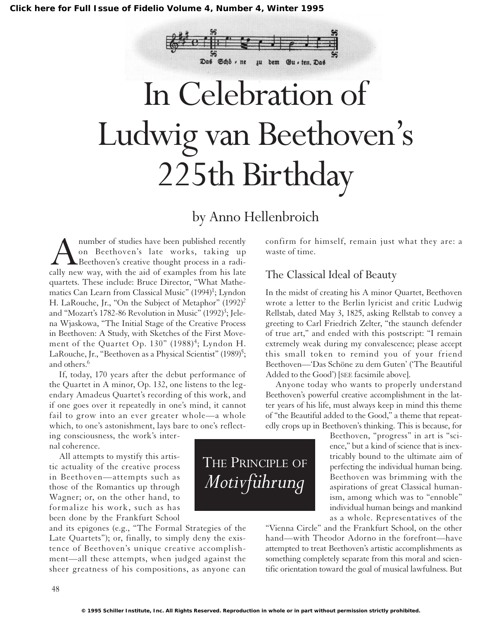

# In Celebration of Ludwig van Beethoven's 225th Birthday

## by Anno Hellenbroich

Anumber of studies have been published recently<br>on Beethoven's late works, taking up<br>Beethoven's creative thought process in a radi-<br>cally new way, with the aid of examples from his late on Beethoven's late works, taking up Beethoven's creative thought process in a radically new way, with the aid of examples from his late quartets. These include: Bruce Director, "What Mathematics Can Learn from Classical Music" (1994)<sup>1</sup>; Lyndon H. LaRouche, Jr., "On the Subject of Metaphor" (1992)<sup>2</sup> and "Mozart's 1782-86 Revolution in Music" (1992)<sup>3</sup>; Jelena Wjaskowa, "The Initial Stage of the Creative Process in Beethoven: A Study, with Sketches of the First Movement of the Quartet Op.  $130"$  (1988)<sup>4</sup>; Lyndon H. LaRouche, Jr., "Beethoven as a Physical Scientist" (1989)<sup>5</sup>; and others.<sup>6</sup>

If, today, 170 years after the debut performance of the Quartet in A minor, Op. 132, one listens to the legendary Amadeus Quartet's recording of this work, and if one goes over it repeatedly in one's mind, it cannot fail to grow into an ever greater whole—a whole which, to one's astonishment, lays bare to one's reflect-

ing consciousness, the work's internal coherence.

All attempts to mystify this artistic actuality of the creative process in Beethoven—attempts such as those of the Romantics up through Wagner; or, on the other hand, to formalize his work, such as has been done by the Frankfurt School

and its epigones (e.g., "The Formal Strategies of the Late Quartets"); or, finally, to simply deny the existence of Beethoven's unique creative accomplishment—all these attempts, when judged against the sheer greatness of his compositions, as anyone can confirm for himself, remain just what they are: a waste of time.

#### The Classical Ideal of Beauty

In the midst of creating his A minor Quartet, Beethoven wrote a letter to the Berlin lyricist and critic Ludwig Rellstab, dated May 3, 1825, asking Rellstab to convey a greeting to Carl Friedrich Zelter, "the staunch defender of true art," and ended with this postscript: "I remain extremely weak during my convalescence; please accept this small token to remind you of your friend Beethoven—'Das Schöne zu dem Guten' ('The Beautiful Added to the Good') [SEE facsimile above].

Anyone today who wants to properly understand Beethoven's powerful creative accomplishment in the latter years of his life, must always keep in mind this theme of "the Beautiful added to the Good," a theme that repeatedly crops up in Beethoven's thinking. This is because, for

> Beethoven, "progress" in art is "science," but a kind of science that is inextricably bound to the ultimate aim of perfecting the individual human being. Beethoven was brimming with the aspirations of great Classical humanism, among which was to "ennoble" individual human beings and mankind as a whole. Representatives of the

"Vienna Circle" and the Frankfurt School, on the other hand—with Theodor Adorno in the forefront—have attempted to treat Beethoven's artistic accomplishments as something completely separate from this moral and scientific orientation toward the goal of musical lawfulness. But

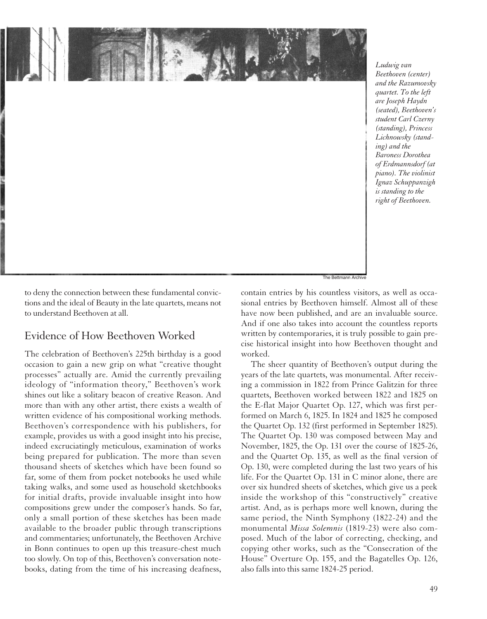

*Ludwig van Beethoven (center) and the Razumovsky quartet. To the left are Joseph Haydn (seated), Beethoven's student Carl Czerny (standing), Princess Lichnowsky (standing) and the Baroness Dorothea of Erdmannsdorf (at piano). The violinist Ignaz Schuppanzigh is standing to the right of Beethoven.*

to deny the connection between these fundamental convictions and the ideal of Beauty in the late quartets, means not to understand Beethoven at all.

#### Evidence of How Beethoven Worked

The celebration of Beethoven's 225th birthday is a good occasion to gain a new grip on what "creative thought processes" actually are. Amid the currently prevailing ideology of "information theory," Beethoven's work shines out like a solitary beacon of creative Reason. And more than with any other artist, there exists a wealth of written evidence of his compositional working methods. Beethoven's correspondence with his publishers, for example, provides us with a good insight into his precise, indeed excruciatingly meticulous, examination of works being prepared for publication. The more than seven thousand sheets of sketches which have been found so far, some of them from pocket notebooks he used while taking walks, and some used as household sketchbooks for initial drafts, provide invaluable insight into how compositions grew under the composer's hands. So far, only a small portion of these sketches has been made available to the broader public through transcriptions and commentaries; unfortunately, the Beethoven Archive in Bonn continues to open up this treasure-chest much too slowly. On top of this, Beethoven's conversation notebooks, dating from the time of his increasing deafness,

contain entries by his countless visitors, as well as occasional entries by Beethoven himself. Almost all of these have now been published, and are an invaluable source. And if one also takes into account the countless reports written by contemporaries, it is truly possible to gain precise historical insight into how Beethoven thought and worked.

The sheer quantity of Beethoven's output during the years of the late quartets, was monumental. After receiving a commission in 1822 from Prince Galitzin for three quartets, Beethoven worked between 1822 and 1825 on the E-flat Major Quartet Op. 127, which was first performed on March 6, 1825. In 1824 and 1825 he composed the Quartet Op. 132 (first performed in September 1825). The Quartet Op. 130 was composed between May and November, 1825, the Op. 131 over the course of 1825-26, and the Quartet Op. 135, as well as the final version of Op. 130, were completed during the last two years of his life. For the Quartet Op. 131 in C minor alone, there are over six hundred sheets of sketches, which give us a peek inside the workshop of this "constructively" creative artist. And, as is perhaps more well known, during the same period, the Ninth Symphony (1822-24) and the monumental *Missa Solemnis* (1819-23) were also composed. Much of the labor of correcting, checking, and copying other works, such as the "Consecration of the House" Overture Op. 155, and the Bagatelles Op. 126, also falls into this same 1824-25 period.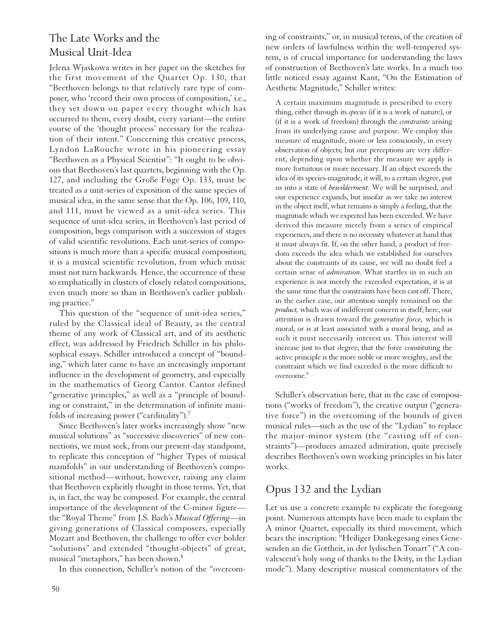#### The Late Works and the Musical Unit-Idea

Jelena Wjaskowa writes in her paper on the sketches for the first movement of the Quartet Op. 130, that "Beethoven belongs to that relatively rare type of composer, who 'record their own process of composition,' i.e., they set down on paper every thought which has occurred to them, every doubt, every variant—the entire course of the 'thought process' necessary for the realization of their intent." Concerning this creative process, Lyndon LaRouche wrote in his pioneering essay "Beethoven as a Physical Scientist": "It ought to be obvious that Beethoven's last quartets, beginning with the Op. 127, and including the Große Fuge Op. 133, must be treated as a unit-series of exposition of the same species of musical idea, in the same sense that the Op. 106, 109, 110, and 111, must be viewed as a unit-idea series. This sequence of unit-idea series, in Beethoven's last period of composition, begs comparison with a succession of stages of valid scientific revolutions. Each unit-series of compositions is much more than a specific musical composition; it is a musical scientific revolution, from which music must not turn backwards. Hence, the occurrence of these so emphatically in clusters of closely related compositions, even much more so than in Beethoven's earlier publishing practice."

This question of the "sequence of unit-idea series," ruled by the Classical ideal of Beauty, as the central theme of any work of Classical art, and of its aesthetic effect, was addressed by Friedrich Schiller in his philosophical essays. Schiller introduced a concept of "bounding," which later came to have an increasingly important influence in the development of geometry, and especially in the mathematics of Georg Cantor. Cantor defined "generative principles," as well as a "principle of bounding or constraint," in the determination of infinite manifolds of increasing power ("cardinality").7

Since Beethoven's later works increasingly show "new musical solutions" as "successive discoveries" of new connections, we must seek, from our present-day standpoint, to replicate this conception of "higher Types of musical manifolds" in our understanding of Beethoven's compositional method—without, however, raising any claim that Beethoven explicitly thought in those terms. Yet, that is, in fact, the way he composed. For example, the central importance of the development of the C-minor figure the "Royal Theme" from J.S. Bach's *Musical Offering*—in giving generations of Classical composers, especially Mozart and Beethoven, the challenge to offer ever bolder "solutions" and extended "thought-objects" of great, musical "metaphors," has been shown.8

In this connection, Schiller's notion of the "overcom-

ing of constraints," or, in musical terms, of the creation of new orders of lawfulness within the well-tempered system, is of crucial importance for understanding the laws of construction of Beethoven's late works. In a much too little noticed essay against Kant, "On the Estimation of Aesthetic Magnitude," Schiller writes:

A certain maximum magnitude is prescribed to every thing, either through its *species* (if it is a work of nature), or (if it is a work of freedom) through the *constraints* arising from its underlying cause and purpose. We employ this measure of magnitude, more or less consciously, in every observation of objects; but our perceptions are very different, depending upon whether the measure we apply is more fortuitous or more necessary. If an object exceeds the idea of its species-magnitude, it will, to a certain degree, put us into a state of *bewilderment.* We will be surprised, and our experience expands, but insofar as we take no interest in the object itself, what remains is simply a feeling, that the magnitude which we expected has been exceeded. We have derived this measure merely from a series of empirical experiences, and there is no necessity whatever at hand that it must always fit. If, on the other hand, a product of freedom exceeds the idea which we established for ourselves about the constraints of its cause, we will no doubt feel a certain sense of *admiration.* What startles us in such an experience is not merely the exceeded expectation, it is at the same time that the constraints have been cast off. There, in the earlier case, our attention simply remained on the *product,* which was of indifferent concern in itself; here, our attention is drawn toward the *generative force,* which is moral, or is at least associated with a moral being, and as such it must necessarily interest us. This interest will increase just to that degree, that the force constituting the active principle is the more noble or more weighty, and the constraint which we find exceeded is the more difficult to overcome.<sup>9</sup>

Schiller's observation here, that in the case of compositions ("works of freedom"), the creative output ("generative force") in the overcoming of the bounds of given musical rules—such as the use of the "Lydian" to replace the major-minor system (the "casting off of constraints")—produces amazed admiration, quite precisely describes Beethoven's own working principles in his later works.

### Opus 132 and the Lydian

Let us use a concrete example to explicate the foregoing point. Numerous attempts have been made to explain the A minor Quartet, especially its third movement, which bears the inscription: "Heiliger Dankegesang eines Genesenden an die Gottheit, in der lydischen Tonart" ("A convalescent's holy song of thanks to the Deity, in the Lydian mode"). Many descriptive musical commentators of the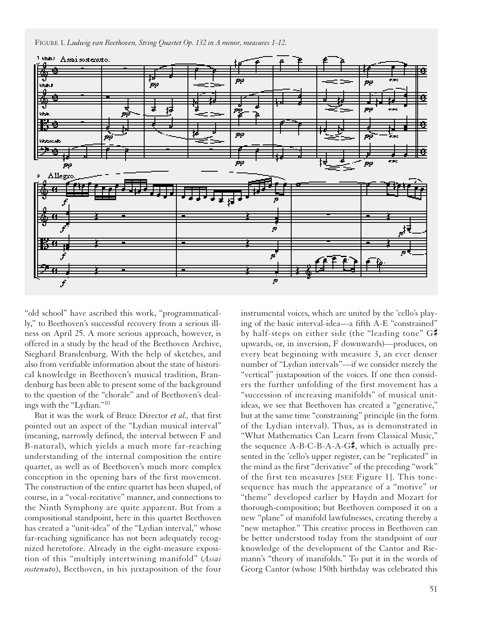FIGURE 1*. Ludwig van Beethoven, String Quartet Op. 132 in A minor, measures 1-12.*



"old school" have ascribed this work, "programmatically," to Beethoven's successful recovery from a serious illness on April 25. A more serious approach, however, is offered in a study by the head of the Beethoven Archive, Sieghard Brandenburg. With the help of sketches, and also from verifiable information about the state of historical knowledge in Beethoven's musical tradition, Brandenburg has been able to present some of the background to the question of the "chorale" and of Beethoven's dealings with the "Lydian."10

But it was the work of Bruce Director *et al.,* that first pointed out an aspect of the "Lydian musical interval" (meaning, narrowly defined, the interval between F and B-natural), which yields a much more far-reaching understanding of the internal composition the entire quartet, as well as of Beethoven's much more complex conception in the opening bars of the first movement. The construction of the entire quartet has been shaped, of course, in a "vocal-recitative" manner, and connections to the Ninth Symphony are quite apparent. But from a compositional standpoint, here in this quartet Beethoven has created a "unit-idea" of the "Lydian interval," whose far-reaching significance has not been adequately recognized heretofore. Already in the eight-measure exposition of this "multiply intertwining manifold" (*Assai sostenuto*), Beethoven, in his juxtaposition of the four

instrumental voices, which are united by the 'cello's playing of the basic interval-idea—a fifth A-E "constrained" by half-steps on either side (the "leading tone" G# upwards, or, in inversion, F downwards)—produces, on every beat beginning with measure 3, an ever denser number of "Lydian intervals"—if we consider merely the "vertical" juxtaposition of the voices. If one then considers the further unfolding of the first movement has a "succession of increasing manifolds" of musical unitideas, we see that Beethoven has created a "generative," but at the same time "constraining" principle (in the form of the Lydian interval). Thus, as is demonstrated in "What Mathematics Can Learn from Classical Music," the sequence  $A-B-C-B-A-A-G\frac{d}{dx}$ , which is actually presented in the 'cello's upper register, can be "replicated" in the mind as the first "derivative" of the preceding "work" of the first ten measures [SEE Figure 1]. This tonesequence has much the appearance of a "motive" or "theme" developed earlier by Haydn and Mozart for thorough-composition; but Beethoven composed it on a new "plane" of manifold lawfulnesses, creating thereby a "new metaphor." This creative process in Beethoven can be better understood today from the standpoint of our knowledge of the development of the Cantor and Riemann's "theory of manifolds." To put it in the words of Georg Cantor (whose 150th birthday was celebrated this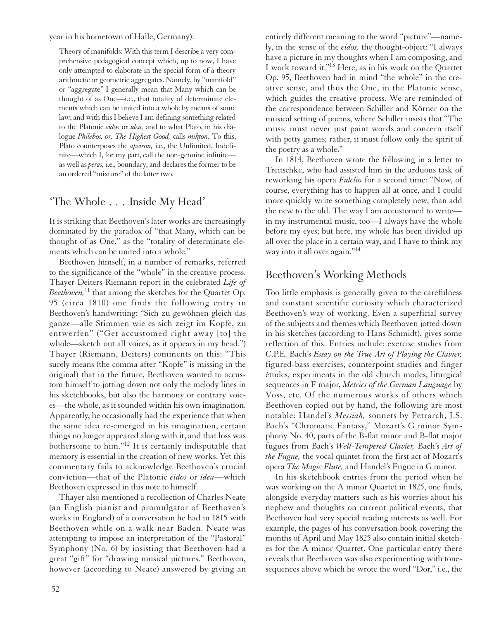year in his hometown of Halle, Germany):

Theory of manifolds: With this term I describe a very comprehensive pedagogical concept which, up to now, I have only attempted to elaborate in the special form of a theory arithmetic or geometric aggregates. Namely, by "manifold" or "aggregate" I generally mean that Many which can be thought of as One—i.e., that totality of determinate elements which can be united into a whole by means of some law; and with this I believe I am defining something related to the Platonic *eidos* or *idea,* and to what Plato, in his dialogue *Philebos, or, The Highest Good,* calls *mikton.* To this, Plato counterposes the *apeiron,* i.e., the Unlimited, Indefinite—which I, for my part, call the non-genuine infinite as well as *peras,* i.e., boundary, and declares the former to be an ordered "mixture" of the latter two.

#### 'The Whole . . . Inside My Head'

It is striking that Beethoven's later works are increasingly dominated by the paradox of "that Many, which can be thought of as One," as the "totality of determinate elements which can be united into a whole."

Beethoven himself, in a number of remarks, referred to the significance of the "whole" in the creative process. Thayer-Deiters-Riemann report in the celebrated *Life of Beethoven*,<sup>11</sup> that among the sketches for the Quartet Op. 95 (circa 1810) one finds the following entry in Beethoven's handwriting: "Sich zu gewöhnen gleich das ganze—alle Stimmen wie es sich zeigt im Kopfe, zu entwerfen" ("Get accustomed right away [to] the whole—sketch out all voices, as it appears in my head.") Thayer (Riemann, Deiters) comments on this: "This surely means (the comma after "Kopfe" is missing in the original) that in the future, Beethoven wanted to accustom himself to jotting down not only the melody lines in his sketchbooks, but also the harmony or contrary voices—the whole, as it sounded within his own imagination. Apparently, he occasionally had the experience that when the same idea re-emerged in his imagination, certain things no longer appeared along with it, and that loss was bothersome to him."<sup>12</sup> It is certainly indisputable that memory is essential in the creation of new works. Yet this commentary fails to acknowledge Beethoven's crucial conviction—that of the Platonic *eidos* or *idea*—which Beethoven expressed in this note to himself.

Thayer also mentioned a recollection of Charles Neate (an English pianist and promulgator of Beethoven's works in England) of a conversation he had in 1815 with Beethoven while on a walk near Baden. Neate was attempting to impose an interpretation of the "Pastoral" Symphony (No. 6) by insisting that Beethoven had a great "gift" for "drawing musical pictures." Beethoven, however (according to Neate) answered by giving an entirely different meaning to the word "picture"—namely, in the sense of the *eidos,* the thought-object: "I always have a picture in my thoughts when I am composing, and I work toward it."13 Here, as in his work on the Quartet Op. 95, Beethoven had in mind "the whole" in the creative sense, and thus the One, in the Platonic sense, which guides the creative process. We are reminded of the correspondence between Schiller and Körner on the musical setting of poems, where Schiller insists that "The music must never just paint words and concern itself with petty games; rather, it must follow only the spirit of the poetry as a whole."

In 1814, Beethoven wrote the following in a letter to Treitschke, who had assisted him in the arduous task of reworking his opera *Fidelio* for a second time: "Now, of course, everything has to happen all at once, and I could more quickly write something completely new, than add the new to the old. The way I am accustomed to write in my instrumental music, too—I always have the whole before my eyes; but here, my whole has been divided up all over the place in a certain way, and I have to think my way into it all over again."<sup>14</sup>

#### Beethoven's Working Methods

Too little emphasis is generally given to the carefulness and constant scientific curiosity which characterized Beethoven's way of working. Even a superficial survey of the subjects and themes which Beethoven jotted down in his sketches (according to Hans Schmidt), gives some reflection of this. Entries include: exercise studies from C.P.E. Bach's *Essay on the True Art of Playing the Clavier,* figured-bass exercises, counterpoint studies and finger études, experiments in the old church modes, liturgical sequences in F major, *Metrics of the German Language* by Voss, etc. Of the numerous works of others which Beethoven copied out by hand, the following are most notable: Handel's *Messiah,* sonnets by Petrarch, J.S. Bach's "Chromatic Fantasy," Mozart's G minor Symphony No. 40, parts of the B-flat minor and B-flat major fugues from Bach's *Well-Tempered Clavier,* Bach's *Art of the Fugue,* the vocal quintet from the first act of Mozart's opera *The Magic Flute,* and Handel's Fugue in G minor.

In his sketchbook entries from the period when he was working on the A minor Quartet in 1825, one finds, alongside everyday matters such as his worries about his nephew and thoughts on current political events, that Beethoven had very special reading interests as well. For example, the pages of his conversation book covering the months of April and May 1825 also contain initial sketches for the A minor Quartet. One particular entry there reveals that Beethoven was also experimenting with tonesequences above which he wrote the word "Dor," i.e., the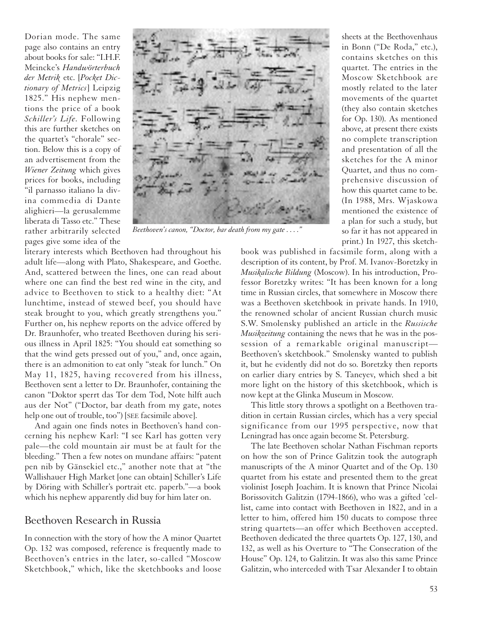Dorian mode. The same page also contains an entry about books for sale: "I.H.F. Meincke's *Handwörterbuch der Metrik* etc. [*Pocket Dictionary of Metrics*] Leipzig 1825." His nephew mentions the price of a book *Schiller's Life.* Following this are further sketches on the quartet's "chorale" section. Below this is a copy of an advertisement from the *Wiener Zeitung* which gives prices for books, including "il parnasso italiano la divina commedia di Dante alighieri—la gerusalemme liberata di Tasso etc." These rather arbitrarily selected pages give some idea of the



*Beethoven's canon, "Doctor, bar death from my gate . . . ."*

literary interests which Beethoven had throughout his adult life—along with Plato, Shakespeare, and Goethe. And, scattered between the lines, one can read about where one can find the best red wine in the city, and advice to Beethoven to stick to a healthy diet: "At lunchtime, instead of stewed beef, you should have steak brought to you, which greatly strengthens you." Further on, his nephew reports on the advice offered by Dr. Braunhofer, who treated Beethoven during his serious illness in April 1825: "You should eat something so that the wind gets pressed out of you," and, once again, there is an admonition to eat only "steak for lunch." On May 11, 1825, having recovered from his illness, Beethoven sent a letter to Dr. Braunhofer, containing the canon "Doktor sperrt das Tor dem Tod, Note hilft auch aus der Not" ("Doctor, bar death from my gate, notes help one out of trouble, too") [SEE facsimile above].

And again one finds notes in Beethoven's hand concerning his nephew Karl: "I see Karl has gotten very pale—the cold mountain air must be at fault for the bleeding." Then a few notes on mundane affairs: "patent pen nib by Gänsekiel etc.," another note that at "the Wallishauer High Market [one can obtain] Schiller's Life by Döring with Schiller's portrait etc. paperb."—a book which his nephew apparently did buy for him later on.

#### Beethoven Research in Russia

In connection with the story of how the A minor Quartet Op. 132 was composed, reference is frequently made to Beethoven's entries in the later, so-called "Moscow Sketchbook," which, like the sketchbooks and loose

sheets at the Beethovenhaus in Bonn ("De Roda," etc.), contains sketches on this quartet. The entries in the Moscow Sketchbook are mostly related to the later movements of the quartet (they also contain sketches for Op. 130). As mentioned above, at present there exists no complete transcription and presentation of all the sketches for the A minor Quartet, and thus no comprehensive discussion of how this quartet came to be. (In 1988, Mrs. Wjaskowa mentioned the existence of a plan for such a study, but so far it has not appeared in print.) In 1927, this sketch-

book was published in facsimile form, along with a description of its content, by Prof. M. Ivanov-Boretzky in *Musikalische Bildung* (Moscow). In his introduction, Professor Boretzky writes: "It has been known for a long time in Russian circles, that somewhere in Moscow there was a Beethoven sketchbook in private hands. In 1910, the renowned scholar of ancient Russian church music S.W. Smolensky published an article in the *Russische Musikzeitung* containing the news that he was in the possession of a remarkable original manuscript— Beethoven's sketchbook." Smolensky wanted to publish it, but he evidently did not do so. Boretzky then reports on earlier diary entries by S. Taneyev, which shed a bit more light on the history of this sketchbook, which is now kept at the Glinka Museum in Moscow.

This little story throws a spotlight on a Beethoven tradition in certain Russian circles, which has a very special significance from our 1995 perspective, now that Leningrad has once again become St. Petersburg.

The late Beethoven scholar Nathan Fischman reports on how the son of Prince Galitzin took the autograph manuscripts of the A minor Quartet and of the Op. 130 quartet from his estate and presented them to the great violinist Joseph Joachim. It is known that Prince Nicolai Borissovitch Galitzin (1794-1866), who was a gifted 'cellist, came into contact with Beethoven in 1822, and in a letter to him, offered him 150 ducats to compose three string quartets—an offer which Beethoven accepted. Beethoven dedicated the three quartets Op. 127, 130, and 132, as well as his Overture to "The Consecration of the House" Op. 124, to Galitzin. It was also this same Prince Galitzin, who interceded with Tsar Alexander I to obtain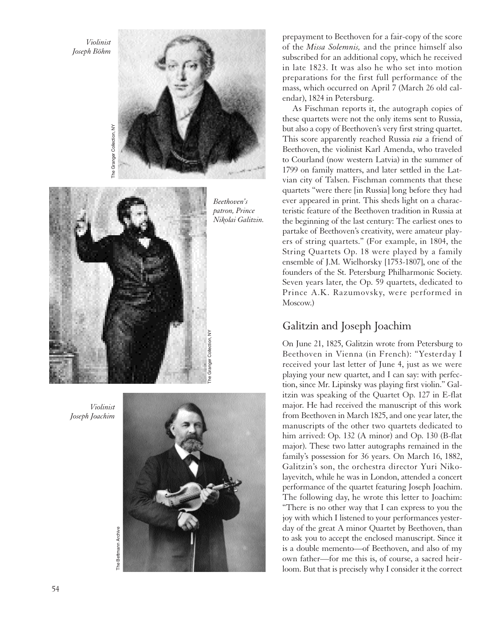*Violinist Joseph Böhm*





*Violinist Joseph Joachim*



prepayment to Beethoven for a fair-copy of the score of the *Missa Solemnis,* and the prince himself also subscribed for an additional copy, which he received in late 1823. It was also he who set into motion preparations for the first full performance of the mass, which occurred on April 7 (March 26 old calendar), 1824 in Petersburg.

As Fischman reports it, the autograph copies of these quartets were not the only items sent to Russia, but also a copy of Beethoven's very first string quartet. This score apparently reached Russia *via* a friend of Beethoven, the violinist Karl Amenda, who traveled to Courland (now western Latvia) in the summer of 1799 on family matters, and later settled in the Latvian city of Talsen. Fischman comments that these quartets "were there [in Russia] long before they had ever appeared in print. This sheds light on a characteristic feature of the Beethoven tradition in Russia at the beginning of the last century: The earliest ones to partake of Beethoven's creativity, were amateur players of string quartets." (For example, in 1804, the String Quartets Op. 18 were played by a family ensemble of J.M. Wielhorsky [1753-1807], one of the founders of the St. Petersburg Philharmonic Society. Seven years later, the Op. 59 quartets, dedicated to Prince A.K. Razumovsky, were performed in Moscow.)

#### Galitzin and Joseph Joachim

On June 21, 1825, Galitzin wrote from Petersburg to Beethoven in Vienna (in French): "Yesterday I received your last letter of June 4, just as we were playing your new quartet, and I can say: with perfection, since Mr. Lipinsky was playing first violin." Galitzin was speaking of the Quartet Op. 127 in E-flat major. He had received the manuscript of this work from Beethoven in March 1825, and one year later, the manuscripts of the other two quartets dedicated to him arrived: Op. 132 (A minor) and Op. 130 (B-flat major). These two latter autographs remained in the family's possession for 36 years. On March 16, 1882, Galitzin's son, the orchestra director Yuri Nikolayevitch, while he was in London, attended a concert performance of the quartet featuring Joseph Joachim. The following day, he wrote this letter to Joachim: "There is no other way that I can express to you the joy with which I listened to your performances yesterday of the great A minor Quartet by Beethoven, than to ask you to accept the enclosed manuscript. Since it is a double memento—of Beethoven, and also of my own father—for me this is, of course, a sacred heirloom. But that is precisely why I consider it the correct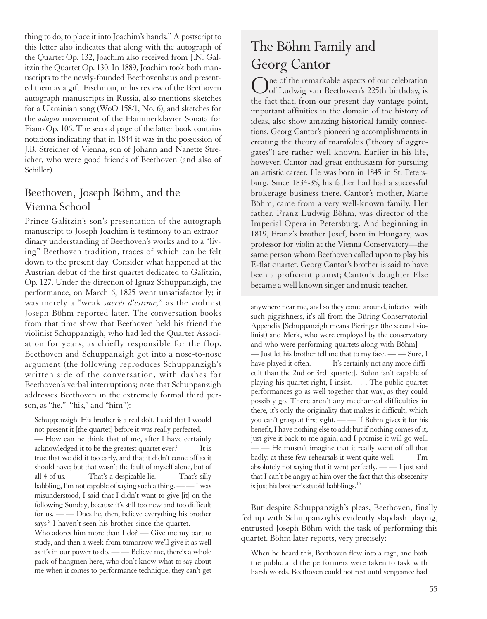thing to do, to place it into Joachim's hands." A postscript to this letter also indicates that along with the autograph of the Quartet Op. 132, Joachim also received from J.N. Galitzin the Quartet Op. 130. In 1889, Joachim took both manuscripts to the newly-founded Beethovenhaus and presented them as a gift. Fischman, in his review of the Beethoven autograph manuscripts in Russia, also mentions sketches for a Ukrainian song (WoO 158/1, No. 6), and sketches for the *adagio* movement of the Hammerklavier Sonata for Piano Op. 106. The second page of the latter book contains notations indicating that in 1844 it was in the possession of J.B. Streicher of Vienna, son of Johann and Nanette Streicher, who were good friends of Beethoven (and also of Schiller).

#### Beethoven, Joseph Böhm, and the Vienna School

Prince Galitzin's son's presentation of the autograph manuscript to Joseph Joachim is testimony to an extraordinary understanding of Beethoven's works and to a "living" Beethoven tradition, traces of which can be felt down to the present day. Consider what happened at the Austrian debut of the first quartet dedicated to Galitzin, Op. 127. Under the direction of Ignaz Schuppanzigh, the performance, on March 6, 1825 went unsatisfactorily; it was merely a "weak *succès d'estime,*" as the violinist Joseph Böhm reported later. The conversation books from that time show that Beethoven held his friend the violinist Schuppanzigh, who had led the Quartet Association for years, as chiefly responsible for the flop. Beethoven and Schuppanzigh got into a nose-to-nose argument (the following reproduces Schuppanzigh's written side of the conversation, with dashes for Beethoven's verbal interruptions; note that Schuppanzigh addresses Beethoven in the extremely formal third person, as "he," "his," and "him"):

Schuppanzigh: His brother is a real dolt. I said that I would not present it [the quartet] before it was really perfected. — — How can he think that of me, after I have certainly acknowledged it to be the greatest quartet ever? — — It is true that we did it too early, and that it didn't come off as it should have; but that wasn't the fault of myself alone, but of all 4 of us.  $\frac{1}{\sqrt{2}}$  a despicable lie.  $\frac{1}{\sqrt{2}}$  and  $\frac{1}{\sqrt{2}}$  and  $\frac{1}{\sqrt{2}}$  and  $\frac{1}{\sqrt{2}}$  are  $\frac{1}{\sqrt{2}}$  and  $\frac{1}{\sqrt{2}}$  are  $\frac{1}{\sqrt{2}}$  and  $\frac{1}{\sqrt{2}}$  are  $\frac{1}{\sqrt{2}}$  and  $\frac{1}{\sqrt{2}}$  are  $\frac{1}{\$ babbling, I'm not capable of saying such a thing. — — I was misunderstood, I said that I didn't want to give [it] on the following Sunday, because it's still too new and too difficult for us. — — Does he, then, believe everything his brother says? I haven't seen his brother since the quartet. — — Who adores him more than I do? — Give me my part to study, and then a week from tomorrow we'll give it as well as it's in our power to do. — — Believe me, there's a whole pack of hangmen here, who don't know what to say about me when it comes to performance technique, they can't get

## The Böhm Family and Georg Cantor

Ine of the remarkable aspects of our celebration of Ludwig van Beethoven's 225th birthday, is the fact that, from our present-day vantage-point, important affinities in the domain of the history of ideas, also show amazing historical family connections. Georg Cantor's pioneering accomplishments in creating the theory of manifolds ("theory of aggregates") are rather well known. Earlier in his life, however, Cantor had great enthusiasm for pursuing an artistic career. He was born in 1845 in St. Petersburg. Since 1834-35, his father had had a successful brokerage business there. Cantor's mother, Marie Böhm, came from a very well-known family. Her father, Franz Ludwig Böhm, was director of the Imperial Opera in Petersburg. And beginning in 1819, Franz's brother Josef, born in Hungary, was professor for violin at the Vienna Conservatory—the same person whom Beethoven called upon to play his E-flat quartet. Georg Cantor's brother is said to have been a proficient pianist; Cantor's daughter Else became a well known singer and music teacher.

anywhere near me, and so they come around, infected with such piggishness, it's all from the Büring Conservatorial Appendix [Schuppanzigh means Pieringer (the second violinist) and Merk, who were employed by the conservatory and who were performing quartets along with Böhm] — — Just let his brother tell me that to my face. — — Sure, I have played it often. - - It's certainly not any more difficult than the 2nd or 3rd [quartet]. Böhm isn't capable of playing his quartet right, I insist. . . . The public quartet performances go as well together that way, as they could possibly go. There aren't any mechanical difficulties in there, it's only the originality that makes it difficult, which you can't grasp at first sight. — — If Böhm gives it for his benefit, I have nothing else to add; but if nothing comes of it, just give it back to me again, and I promise it will go well. — — He mustn't imagine that it really went off all that badly; at these few rehearsals it went quite well. — — I'm absolutely not saying that it went perfectly. — — I just said that I can't be angry at him over the fact that this obsecenity is just his brother's stupid babblings.15

But despite Schuppanzigh's pleas, Beethoven, finally fed up with Schuppanzigh's evidently slapdash playing, entrusted Joseph Böhm with the task of performing this quartet. Böhm later reports, very precisely:

When he heard this, Beethoven flew into a rage, and both the public and the performers were taken to task with harsh words. Beethoven could not rest until vengeance had